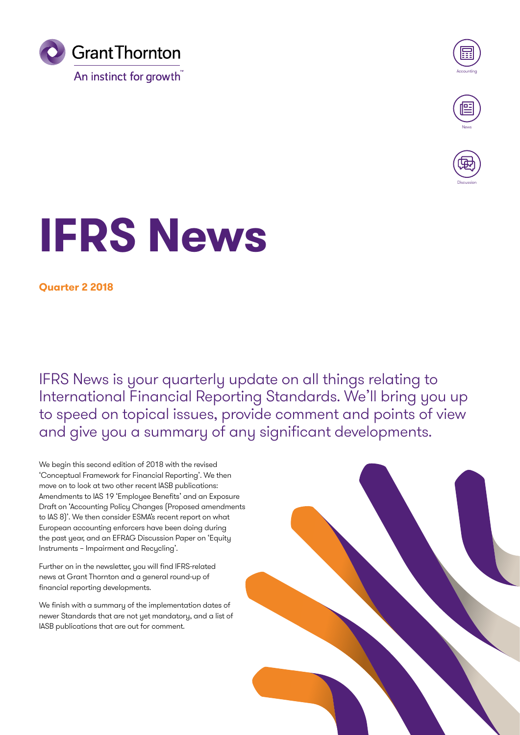



**Discussion** 

# **IFRS News**

**Quarter 2 2018**

IFRS News is your quarterly update on all things relating to International Financial Reporting Standards. We'll bring you up to speed on topical issues, provide comment and points of view and give you a summary of any significant developments.

We begin this second edition of 2018 with the revised 'Conceptual Framework for Financial Reporting'. We then move on to look at two other recent IASB publications: Amendments to IAS 19 'Employee Benefits' and an Exposure Draft on 'Accounting Policy Changes (Proposed amendments to IAS 8)'. We then consider ESMA's recent report on what European accounting enforcers have been doing during the past year, and an EFRAG Discussion Paper on 'Equity Instruments – Impairment and Recycling'.

Further on in the newsletter, you will find IFRS-related news at Grant Thornton and a general round-up of financial reporting developments.

We finish with a summary of the implementation dates of newer Standards that are not yet mandatory, and a list of IASB publications that are out for comment.

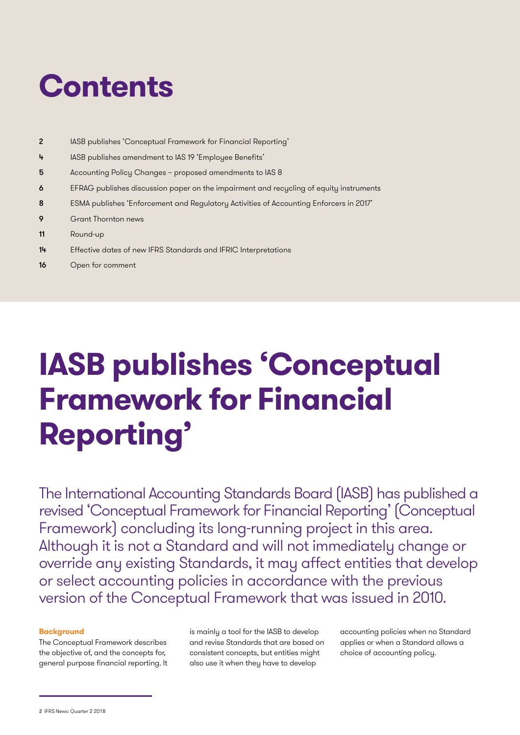## **Contents**

- 2 IASB publishes 'Conceptual Framework for Financial Reporting'
- 4 IASB publishes amendment to IAS 19 'Employee Benefits'
- 5 Accounting Policy Changes proposed amendments to IAS 8
- 6 EFRAG publishes discussion paper on the impairment and recycling of equity instruments
- 8 ESMA publishes 'Enforcement and Regulatory Activities of Accounting Enforcers in 2017'
- 9 Grant Thornton news
- 11 Round-up
- 14 Effective dates of new IFRS Standards and IFRIC Interpretations
- 16 Open for comment

## **IASB publishes 'Conceptual Framework for Financial Reporting'**

The International Accounting Standards Board (IASB) has published a revised 'Conceptual Framework for Financial Reporting' (Conceptual Framework) concluding its long-running project in this area. Although it is not a Standard and will not immediately change or override any existing Standards, it may affect entities that develop or select accounting policies in accordance with the previous version of the Conceptual Framework that was issued in 2010.

#### **Background**

The Conceptual Framework describes the objective of, and the concepts for, general purpose financial reporting. It is mainly a tool for the IASB to develop and revise Standards that are based on consistent concepts, but entities might also use it when they have to develop

accounting policies when no Standard applies or when a Standard allows a choice of accounting policy.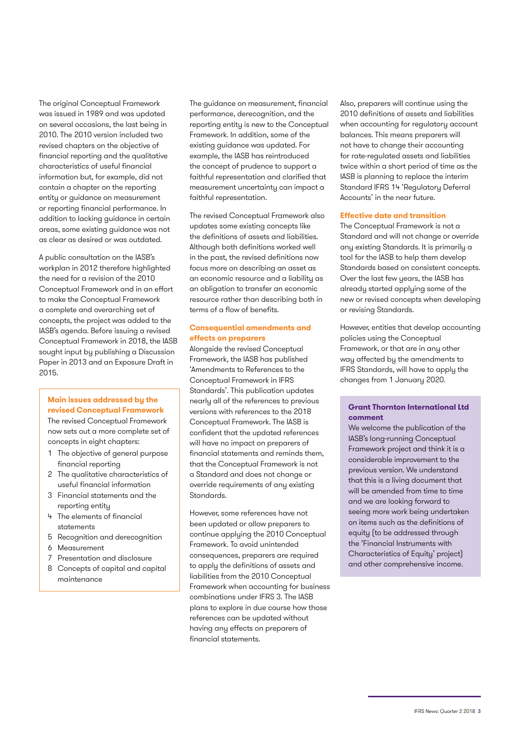The original Conceptual Framework was issued in 1989 and was updated on several occasions, the last being in 2010. The 2010 version included two revised chapters on the objective of financial reporting and the qualitative characteristics of useful financial information but, for example, did not contain a chapter on the reporting entity or guidance on measurement or reporting financial performance. In addition to lacking guidance in certain areas, some existing guidance was not as clear as desired or was outdated.

A public consultation on the IASB's workplan in 2012 therefore highlighted the need for a revision of the 2010 Conceptual Framework and in an effort to make the Conceptual Framework a complete and overarching set of concepts, the project was added to the IASB's agenda. Before issuing a revised Conceptual Framework in 2018, the IASB sought input by publishing a Discussion Paper in 2013 and an Exposure Draft in 2015.

#### **Main issues addressed by the revised Conceptual Framework**

The revised Conceptual Framework now sets out a more complete set of concepts in eight chapters:

- 1 The objective of general purpose financial reporting
- 2 The qualitative characteristics of useful financial information
- 3 Financial statements and the reporting entity
- 4 The elements of financial statements
- 5 Recognition and derecognition
- 6 Measurement
- 7 Presentation and disclosure
- 8 Concepts of capital and capital maintenance

The guidance on measurement, financial performance, derecognition, and the reporting entity is new to the Conceptual Framework. In addition, some of the existing guidance was updated. For example, the IASB has reintroduced the concept of prudence to support a faithful representation and clarified that measurement uncertainty can impact a faithful representation.

The revised Conceptual Framework also updates some existing concepts like the definitions of assets and liabilities. Although both definitions worked well in the past, the revised definitions now focus more on describing an asset as an economic resource and a liability as an obligation to transfer an economic resource rather than describing both in terms of a flow of benefits.

#### **Consequential amendments and effects on preparers**

Alongside the revised Conceptual Framework, the IASB has published 'Amendments to References to the Conceptual Framework in IFRS Standards'. This publication updates nearly all of the references to previous versions with references to the 2018 Conceptual Framework. The IASB is confident that the updated references will have no impact on preparers of financial statements and reminds them, that the Conceptual Framework is not a Standard and does not change or override requirements of any existing Standards.

However, some references have not been updated or allow preparers to continue applying the 2010 Conceptual Framework. To avoid unintended consequences, preparers are required to apply the definitions of assets and liabilities from the 2010 Conceptual Framework when accounting for business combinations under IFRS 3. The IASB plans to explore in due course how those references can be updated without having any effects on preparers of financial statements.

Also, preparers will continue using the 2010 definitions of assets and liabilities when accounting for regulatory account balances. This means preparers will not have to change their accounting for rate-regulated assets and liabilities twice within a short period of time as the IASB is planning to replace the interim Standard IFRS 14 'Regulatory Deferral Accounts' in the near future.

#### **Effective date and transition**

The Conceptual Framework is not a Standard and will not change or override any existing Standards. It is primarily a tool for the IASB to help them develop Standards based on consistent concepts. Over the last few years, the IASB has already started applying some of the new or revised concepts when developing or revising Standards.

However, entities that develop accounting policies using the Conceptual Framework, or that are in any other way affected by the amendments to IFRS Standards, will have to apply the changes from 1 January 2020.

#### **Grant Thornton International Ltd comment**

We welcome the publication of the IASB's long-running Conceptual Framework project and think it is a considerable improvement to the previous version. We understand that this is a living document that will be amended from time to time and we are looking forward to seeing more work being undertaken on items such as the definitions of equity (to be addressed through the 'Financial Instruments with Characteristics of Equity' project) and other comprehensive income.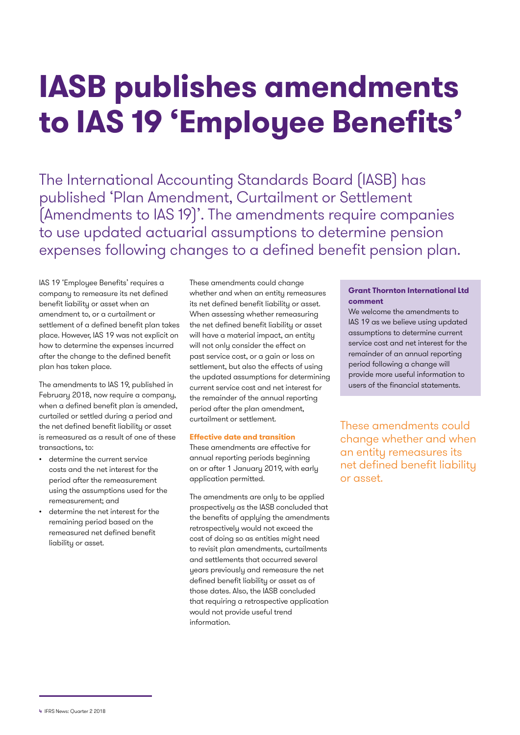## **IASB publishes amendments to IAS 19 'Employee Benefits'**

The International Accounting Standards Board (IASB) has published 'Plan Amendment, Curtailment or Settlement (Amendments to IAS 19)'. The amendments require companies to use updated actuarial assumptions to determine pension expenses following changes to a defined benefit pension plan.

IAS 19 'Employee Benefits' requires a company to remeasure its net defined benefit liability or asset when an amendment to, or a curtailment or settlement of a defined benefit plan takes place. However, IAS 19 was not explicit on how to determine the expenses incurred after the change to the defined benefit plan has taken place.

The amendments to IAS 19, published in February 2018, now require a company, when a defined benefit plan is amended, curtailed or settled during a period and the net defined benefit liability or asset is remeasured as a result of one of these transactions, to:

- determine the current service costs and the net interest for the period after the remeasurement using the assumptions used for the remeasurement; and
- determine the net interest for the remaining period based on the remeasured net defined benefit liability or asset.

These amendments could change whether and when an entity remeasures its net defined benefit liability or asset. When assessing whether remeasuring the net defined benefit liability or asset will have a material impact, an entity will not only consider the effect on past service cost, or a gain or loss on settlement, but also the effects of using the updated assumptions for determining current service cost and net interest for the remainder of the annual reporting period after the plan amendment, curtailment or settlement.

#### **Effective date and transition**

These amendments are effective for annual reporting periods beginning on or after 1 January 2019, with early application permitted.

The amendments are only to be applied prospectively as the IASB concluded that the benefits of applying the amendments retrospectively would not exceed the cost of doing so as entities might need to revisit plan amendments, curtailments and settlements that occurred several years previously and remeasure the net defined benefit liability or asset as of those dates. Also, the IASB concluded that requiring a retrospective application would not provide useful trend information.

#### **Grant Thornton International Ltd comment**

We welcome the amendments to IAS 19 as we believe using updated assumptions to determine current service cost and net interest for the remainder of an annual reporting period following a change will provide more useful information to users of the financial statements.

These amendments could change whether and when an entity remeasures its net defined benefit liability or asset.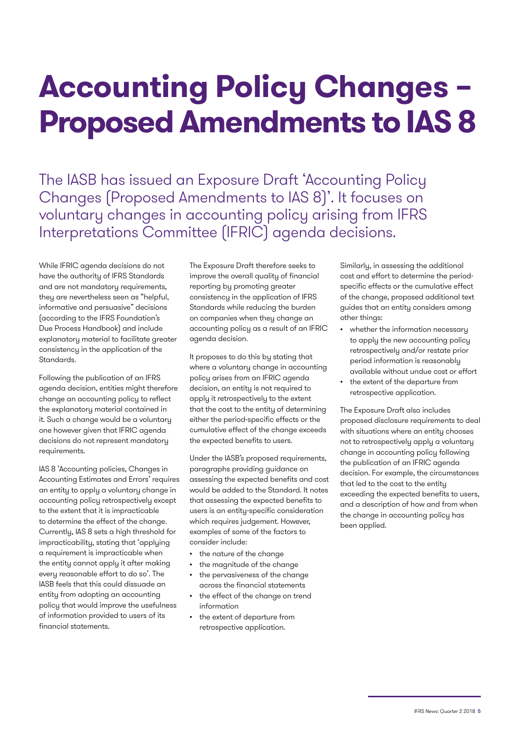## **Accounting Policy Changes – Proposed Amendments to IAS 8**

The IASB has issued an Exposure Draft 'Accounting Policy Changes (Proposed Amendments to IAS 8)'. It focuses on voluntary changes in accounting policy arising from IFRS Interpretations Committee (IFRIC) agenda decisions.

While IFRIC agenda decisions do not have the authority of IFRS Standards and are not mandatory requirements, they are nevertheless seen as "helpful, informative and persuasive" decisions (according to the IFRS Foundation's Due Process Handbook) and include explanatory material to facilitate greater consistency in the application of the Standards.

Following the publication of an IFRS agenda decision, entities might therefore change an accounting policy to reflect the explanatory material contained in it. Such a change would be a voluntary one however given that IFRIC agenda decisions do not represent mandatory requirements.

IAS 8 'Accounting policies, Changes in Accounting Estimates and Errors' requires an entity to apply a voluntary change in accounting policy retrospectively except to the extent that it is impracticable to determine the effect of the change. Currently, IAS 8 sets a high threshold for impracticability, stating that 'applying a requirement is impracticable when the entity cannot apply it after making every reasonable effort to do so'. The IASB feels that this could dissuade an entity from adopting an accounting policy that would improve the usefulness of information provided to users of its financial statements.

The Exposure Draft therefore seeks to improve the overall quality of financial reporting by promoting greater consistency in the application of IFRS Standards while reducing the burden on companies when they change an accounting policy as a result of an IFRIC agenda decision.

It proposes to do this by stating that where a voluntary change in accounting policy arises from an IFRIC agenda decision, an entity is not required to apply it retrospectively to the extent that the cost to the entity of determining either the period-specific effects or the cumulative effect of the change exceeds the expected benefits to users.

Under the IASB's proposed requirements, paragraphs providing guidance on assessing the expected benefits and cost would be added to the Standard. It notes that assessing the expected benefits to users is an entity-specific consideration which requires judgement. However, examples of some of the factors to consider include:

- the nature of the change
- the magnitude of the change
- the pervasiveness of the change across the financial statements
- the effect of the change on trend information
- the extent of departure from retrospective application.

Similarly, in assessing the additional cost and effort to determine the periodspecific effects or the cumulative effect of the change, proposed additional text guides that an entity considers among other things:

- whether the information necessary to apply the new accounting policy retrospectively and/or restate prior period information is reasonably available without undue cost or effort
- the extent of the departure from retrospective application.

The Exposure Draft also includes proposed disclosure requirements to deal with situations where an entity chooses not to retrospectively apply a voluntary change in accounting policy following the publication of an IFRIC agenda decision. For example, the circumstances that led to the cost to the entity exceeding the expected benefits to users, and a description of how and from when the change in accounting policy has been applied.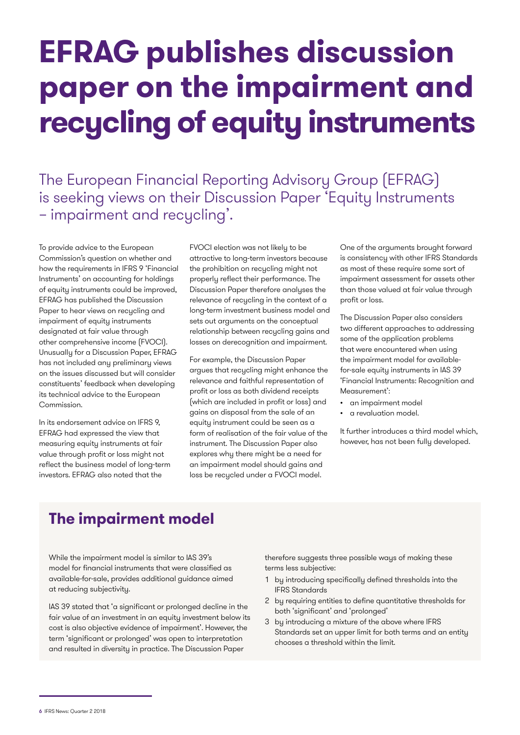## **EFRAG publishes discussion paper on the impairment and recycling of equity instruments**

The European Financial Reporting Advisory Group (EFRAG) is seeking views on their Discussion Paper 'Equity Instruments – impairment and recycling'.

To provide advice to the European Commission's question on whether and how the requirements in IFRS 9 'Financial Instruments' on accounting for holdings of equity instruments could be improved, EFRAG has published the Discussion Paper to hear views on recycling and impairment of equity instruments designated at fair value through other comprehensive income (FVOCI). Unusually for a Discussion Paper, EFRAG has not included any preliminary views on the issues discussed but will consider constituents' feedback when developing its technical advice to the European Commission.

In its endorsement advice on IFRS 9, EFRAG had expressed the view that measuring equity instruments at fair value through profit or loss might not reflect the business model of long-term investors. EFRAG also noted that the

FVOCI election was not likely to be attractive to long-term investors because the prohibition on recycling might not properly reflect their performance. The Discussion Paper therefore analyses the relevance of recycling in the context of a long-term investment business model and sets out arguments on the conceptual relationship between recycling gains and losses on derecognition and impairment.

For example, the Discussion Paper argues that recycling might enhance the relevance and faithful representation of profit or loss as both dividend receipts (which are included in profit or loss) and gains on disposal from the sale of an equity instrument could be seen as a form of realisation of the fair value of the instrument. The Discussion Paper also explores why there might be a need for an impairment model should gains and loss be recycled under a FVOCI model.

One of the arguments brought forward is consistency with other IFRS Standards as most of these require some sort of impairment assessment for assets other than those valued at fair value through profit or loss.

The Discussion Paper also considers two different approaches to addressing some of the application problems that were encountered when using the impairment model for availablefor-sale equity instruments in IAS 39 'Financial Instruments: Recognition and Measurement':

- an impairment model
- a revaluation model.

It further introduces a third model which, however, has not been fully developed.

### **The impairment model**

While the impairment model is similar to IAS 39's model for financial instruments that were classified as available-for-sale, provides additional guidance aimed at reducing subjectivity.

IAS 39 stated that 'a significant or prolonged decline in the fair value of an investment in an equity investment below its cost is also objective evidence of impairment'. However, the term 'significant or prolonged' was open to interpretation and resulted in diversity in practice. The Discussion Paper

therefore suggests three possible ways of making these terms less subjective:

- 1 by introducing specifically defined thresholds into the IFRS Standards
- 2 by requiring entities to define quantitative thresholds for both 'significant' and 'prolonged'
- 3 by introducing a mixture of the above where IFRS Standards set an upper limit for both terms and an entity chooses a threshold within the limit.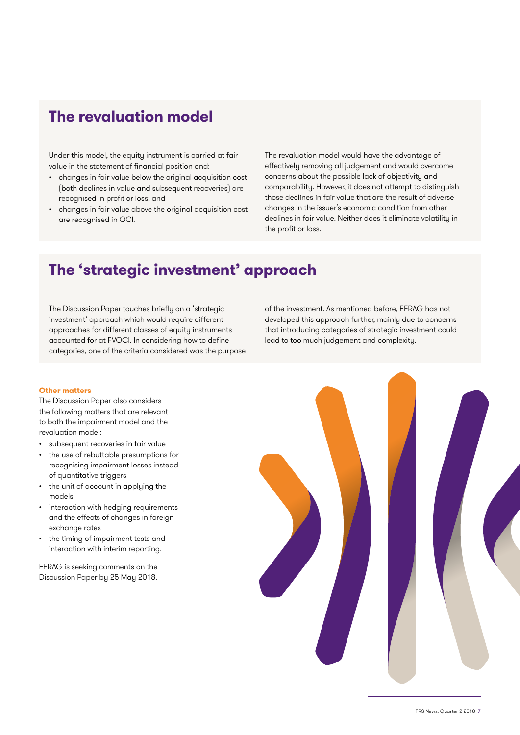### **The revaluation model**

Under this model, the equity instrument is carried at fair value in the statement of financial position and:

- changes in fair value below the original acquisition cost (both declines in value and subsequent recoveries) are recognised in profit or loss; and
- changes in fair value above the original acquisition cost are recognised in OCI.

The revaluation model would have the advantage of effectively removing all judgement and would overcome concerns about the possible lack of objectivity and comparability. However, it does not attempt to distinguish those declines in fair value that are the result of adverse changes in the issuer's economic condition from other declines in fair value. Neither does it eliminate volatility in the profit or loss.

### **The 'strategic investment' approach**

The Discussion Paper touches briefly on a 'strategic investment' approach which would require different approaches for different classes of equity instruments accounted for at FVOCI. In considering how to define categories, one of the criteria considered was the purpose

of the investment. As mentioned before, EFRAG has not developed this approach further, mainly due to concerns that introducing categories of strategic investment could lead to too much judgement and complexity.

#### **Other matters**

The Discussion Paper also considers the following matters that are relevant to both the impairment model and the revaluation model:

- subsequent recoveries in fair value
- the use of rebuttable presumptions for recognising impairment losses instead of quantitative triggers
- the unit of account in applying the models
- interaction with hedging requirements and the effects of changes in foreign exchange rates
- the timing of impairment tests and interaction with interim reporting.

EFRAG is seeking comments on the Discussion Paper by 25 May 2018.

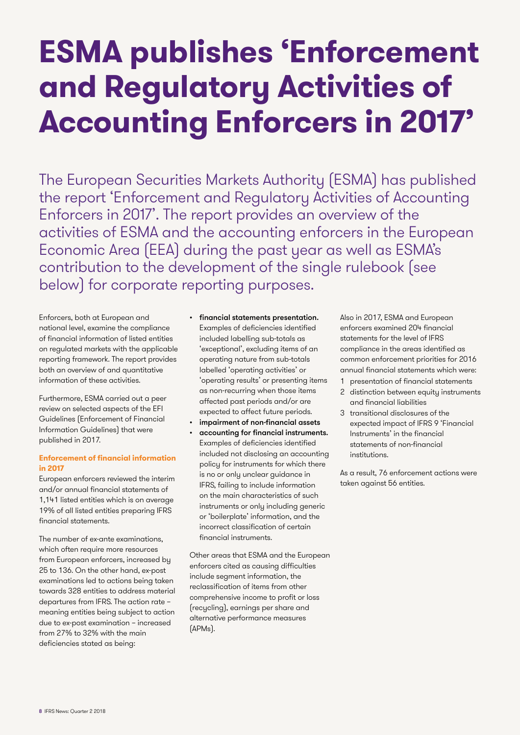## **ESMA publishes 'Enforcement and Regulatory Activities of Accounting Enforcers in 2017'**

The European Securities Markets Authority (ESMA) has published the report 'Enforcement and Regulatory Activities of Accounting Enforcers in 2017'. The report provides an overview of the activities of ESMA and the accounting enforcers in the European Economic Area (EEA) during the past year as well as ESMA's contribution to the development of the single rulebook (see below) for corporate reporting purposes.

Enforcers, both at European and national level, examine the compliance of financial information of listed entities on regulated markets with the applicable reporting framework. The report provides both an overview of and quantitative information of these activities.

Furthermore, ESMA carried out a peer review on selected aspects of the EFI Guidelines (Enforcement of Financial Information Guidelines) that were published in 2017.

#### **Enforcement of financial information in 2017**

European enforcers reviewed the interim and/or annual financial statements of 1,141 listed entities which is on average 19% of all listed entities preparing IFRS financial statements.

The number of ex-ante examinations, which often require more resources from European enforcers, increased by 25 to 136. On the other hand, ex-post examinations led to actions being taken towards 328 entities to address material departures from IFRS. The action rate – meaning entities being subject to action due to ex-post examination – increased from 27% to 32% with the main deficiencies stated as being:

- financial statements presentation. Examples of deficiencies identified included labelling sub-totals as 'exceptional', excluding items of an operating nature from sub-totals labelled 'operating activities' or 'operating results' or presenting items as non-recurring when those items affected past periods and/or are expected to affect future periods.
- impairment of non-financial assets
- accounting for financial instruments. Examples of deficiencies identified included not disclosing an accounting policy for instruments for which there is no or only unclear guidance in IFRS, failing to include information on the main characteristics of such instruments or only including generic or 'boilerplate' information, and the incorrect classification of certain financial instruments.

Other areas that ESMA and the European enforcers cited as causing difficulties include segment information, the reclassification of items from other comprehensive income to profit or loss (recycling), earnings per share and alternative performance measures (APMs).

Also in 2017, ESMA and European enforcers examined 204 financial statements for the level of IFRS compliance in the areas identified as common enforcement priorities for 2016 annual financial statements which were:

- presentation of financial statements
- 2 distinction between equity instruments and financial liabilities
- 3 transitional disclosures of the expected impact of IFRS 9 'Financial Instruments' in the financial statements of non-financial institutions.

As a result, 76 enforcement actions were taken against 56 entities.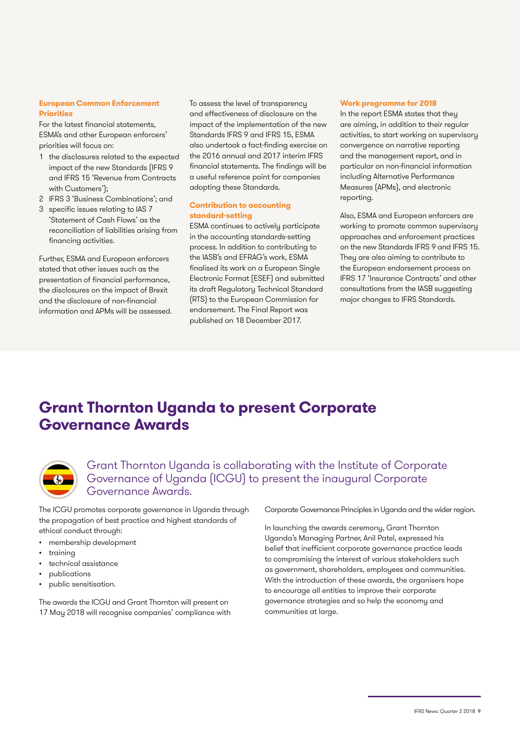#### **European Common Enforcement Priorities**

For the latest financial statements, ESMA's and other European enforcers' priorities will focus on:

- 1 the disclosures related to the expected impact of the new Standards (IFRS 9 and IFRS 15 'Revenue from Contracts with Customers');
- 2 IFRS 3 'Business Combinations'; and
- 3 specific issues relating to IAS 7 'Statement of Cash Flows' as the reconciliation of liabilities arising from financing activities.

Further, ESMA and European enforcers stated that other issues such as the presentation of financial performance, the disclosures on the impact of Brexit and the disclosure of non-financial information and APMs will be assessed.

To assess the level of transparency and effectiveness of disclosure on the impact of the implementation of the new Standards IFRS 9 and IFRS 15, ESMA also undertook a fact-finding exercise on the 2016 annual and 2017 interim IFRS financial statements. The findings will be a useful reference point for companies adopting these Standards.

#### **Contribution to accounting standard-setting**

ESMA continues to actively participate in the accounting standards-setting process. In addition to contributing to the IASB's and EFRAG's work, ESMA finalised its work on a European Single Electronic Format (ESEF) and submitted its draft Regulatory Technical Standard (RTS) to the European Commission for endorsement. The Final Report was published on 18 December 2017.

#### **Work programme for 2018**

In the report ESMA states that they are aiming, in addition to their regular activities, to start working on supervisory convergence on narrative reporting and the management report, and in particular on non-financial information including Alternative Performance Measures (APMs), and electronic reporting.

Also, ESMA and European enforcers are working to promote common supervisory approaches and enforcement practices on the new Standards IFRS 9 and IFRS 15. They are also aiming to contribute to the European endorsement process on IFRS 17 'Insurance Contracts' and other consultations from the IASB suggesting major changes to IFRS Standards.

### **Grant Thornton Uganda to present Corporate Governance Awards**



Grant Thornton Uganda is collaborating with the Institute of Corporate Governance of Uganda (ICGU) to present the inaugural Corporate Governance Awards.

The ICGU promotes corporate governance in Uganda through the propagation of best practice and highest standards of ethical conduct through:

- membership development
- training
- technical assistance
- publications
- public sensitisation.

The awards the ICGU and Grant Thornton will present on 17 May 2018 will recognise companies' compliance with Corporate Governance Principles in Uganda and the wider region.

In launching the awards ceremony, Grant Thornton Uganda's Managing Partner, Anil Patel, expressed his belief that inefficient corporate governance practice leads to compromising the interest of various stakeholders such as government, shareholders, employees and communities. With the introduction of these awards, the organisers hope to encourage all entities to improve their corporate governance strategies and so help the economy and communities at large.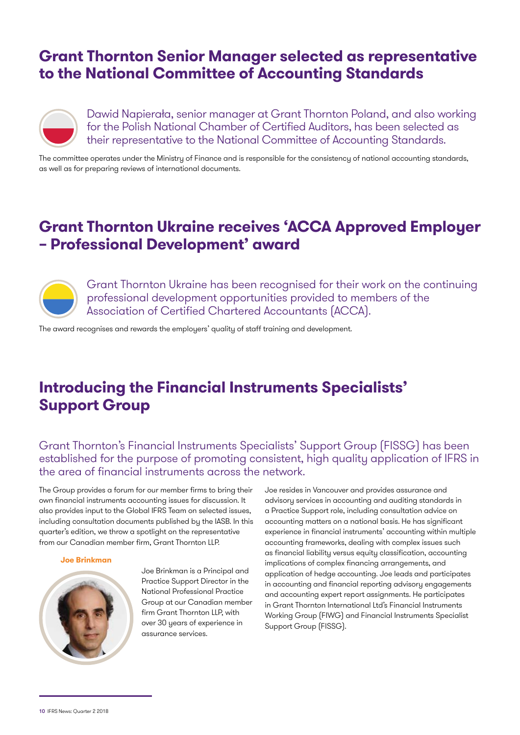### **Grant Thornton Senior Manager selected as representative to the National Committee of Accounting Standards**



Dawid Napierała, senior manager at Grant Thornton Poland, and also working for the Polish National Chamber of Certified Auditors, has been selected as their representative to the National Committee of Accounting Standards.

The committee operates under the Ministry of Finance and is responsible for the consistency of national accounting standards, as well as for preparing reviews of international documents.

### **Grant Thornton Ukraine receives 'ACCA Approved Employer – Professional Development' award**



Grant Thornton Ukraine has been recognised for their work on the continuing professional development opportunities provided to members of the Association of Certified Chartered Accountants (ACCA).

The award recognises and rewards the employers' quality of staff training and development.

## **Introducing the Financial Instruments Specialists' Support Group**

Grant Thornton's Financial Instruments Specialists' Support Group (FISSG) has been established for the purpose of promoting consistent, high quality application of IFRS in the area of financial instruments across the network.

The Group provides a forum for our member firms to bring their own financial instruments accounting issues for discussion. It also provides input to the Global IFRS Team on selected issues, including consultation documents published by the IASB. In this quarter's edition, we throw a spotlight on the representative from our Canadian member firm, Grant Thornton LLP.

#### **Joe Brinkman**



Joe Brinkman is a Principal and Practice Support Director in the National Professional Practice Group at our Canadian member firm Grant Thornton LLP, with over 30 years of experience in assurance services.

Joe resides in Vancouver and provides assurance and advisory services in accounting and auditing standards in a Practice Support role, including consultation advice on accounting matters on a national basis. He has significant experience in financial instruments' accounting within multiple accounting frameworks, dealing with complex issues such as financial liability versus equity classification, accounting implications of complex financing arrangements, and application of hedge accounting. Joe leads and participates in accounting and financial reporting advisory engagements and accounting expert report assignments. He participates in Grant Thornton International Ltd's Financial Instruments Working Group (FIWG) and Financial Instruments Specialist Support Group (FISSG).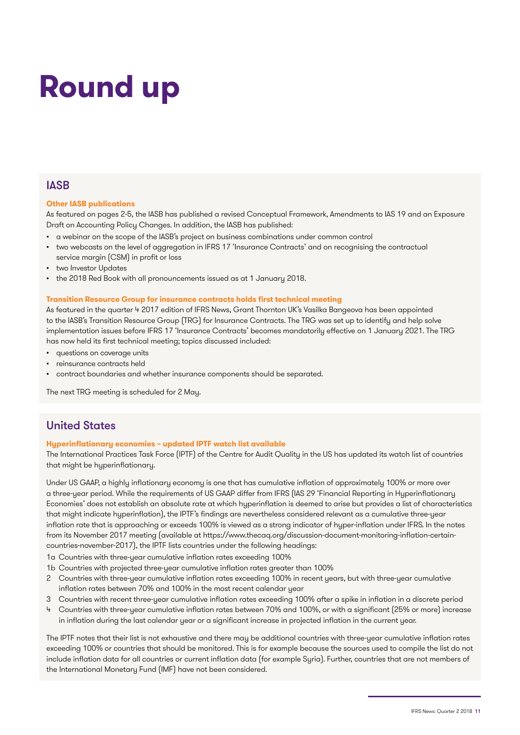## **Round up**

#### **IASB**

#### **Other IASB publications**

As featured on pages 2-5, the IASB has published a revised Conceptual Framework, Amendments to IAS 19 and an Exposure Draft on Accounting Policy Changes. In addition, the IASB has published:

- a webinar on the scope of the IASB's project on business combinations under common control
- two webcasts on the level of aggregation in IFRS 17 'Insurance Contracts' and on recognising the contractual service margin (CSM) in profit or loss
- two Investor Updates
- the 2018 Red Book with all pronouncements issued as at 1 January 2018.

#### **Transition Resource Group for insurance contracts holds first technical meeting**

As featured in the quarter 4 2017 edition of IFRS News, Grant Thornton UK's Vasilka Bangeova has been appointed to the IASB's Transition Resource Group (TRG) for Insurance Contracts. The TRG was set up to identify and help solve implementation issues before IFRS 17 'Insurance Contracts' becomes mandatorily effective on 1 January 2021. The TRG has now held its first technical meeting; topics discussed included:

- questions on coverage units
- reinsurance contracts held
- contract boundaries and whether insurance components should be separated.

The next TRG meeting is scheduled for 2 May.

#### United States

#### **Hyperinflationary economies – updated IPTF watch list available**

The International Practices Task Force (IPTF) of the Centre for Audit Quality in the US has updated its watch list of countries that might be hyperinflationary.

Under US GAAP, a highly inflationary economy is one that has cumulative inflation of approximately 100% or more over a three-year period. While the requirements of US GAAP differ from IFRS (IAS 29 'Financial Reporting in Hyperinflationary Economies' does not establish an absolute rate at which hyperinflation is deemed to arise but provides a list of characteristics that might indicate hyperinflation), the IPTF's findings are nevertheless considered relevant as a cumulative three-year inflation rate that is approaching or exceeds 100% is viewed as a strong indicator of hyper-inflation under IFRS. In the notes from its November 2017 meeting (available at https://www.thecaq.org/discussion-document-monitoring-inflation-certaincountries-november-2017), the IPTF lists countries under the following headings:

- 1a Countries with three-year cumulative inflation rates exceeding 100%
- 1b Countries with projected three-year cumulative inflation rates greater than 100%
- 2 Countries with three-year cumulative inflation rates exceeding 100% in recent years, but with three-year cumulative inflation rates between 70% and 100% in the most recent calendar year
- 3 Countries with recent three-year cumulative inflation rates exceeding 100% after a spike in inflation in a discrete period
- 4 Countries with three-year cumulative inflation rates between 70% and 100%, or with a significant (25% or more) increase in inflation during the last calendar year or a significant increase in projected inflation in the current year.

The IPTF notes that their list is not exhaustive and there may be additional countries with three-year cumulative inflation rates exceeding 100% or countries that should be monitored. This is for example because the sources used to compile the list do not include inflation data for all countries or current inflation data (for example Syria). Further, countries that are not members of the International Monetary Fund (IMF) have not been considered.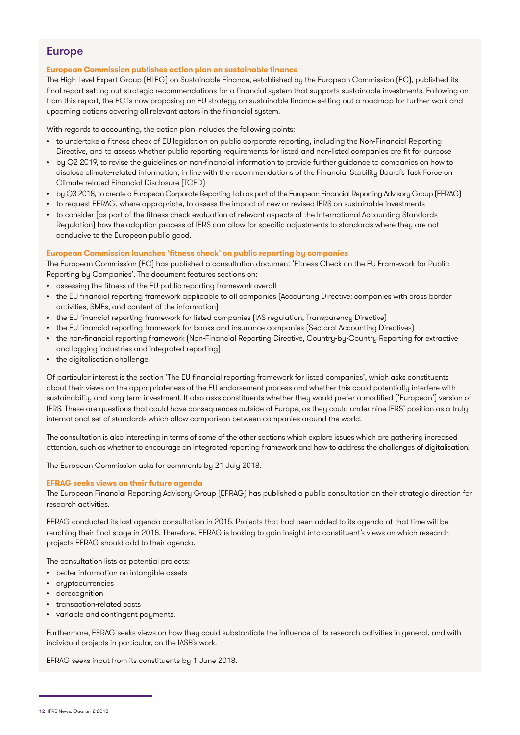### Europe

#### **European Commission publishes action plan on sustainable finance**

The High-Level Expert Group (HLEG) on Sustainable Finance, established by the European Commission (EC), published its final report setting out strategic recommendations for a financial system that supports sustainable investments. Following on from this report, the EC is now proposing an EU strategy on sustainable finance setting out a roadmap for further work and upcoming actions covering all relevant actors in the financial system.

With regards to accounting, the action plan includes the following points:

- to undertake a fitness check of EU legislation on public corporate reporting, including the Non-Financial Reporting Directive, and to assess whether public reporting requirements for listed and non-listed companies are fit for purpose
- by Q2 2019, to revise the guidelines on non-financial information to provide further guidance to companies on how to disclose climate-related information, in line with the recommendations of the Financial Stability Board's Task Force on Climate-related Financial Disclosure (TCFD)
- by Q3 2018, to create a European Corporate Reporting Lab as part of the European Financial Reporting Advisory Group (EFRAG)
- to request EFRAG, where appropriate, to assess the impact of new or revised IFRS on sustainable investments
- to consider (as part of the fitness check evaluation of relevant aspects of the International Accounting Standards Regulation) how the adoption process of IFRS can allow for specific adjustments to standards where they are not conducive to the European public good.

#### **European Commission launches 'fitness check' on public reporting by companies**

The European Commission (EC) has published a consultation document 'Fitness Check on the EU Framework for Public Reporting by Companies'. The document features sections on:

- assessing the fitness of the EU public reporting framework overall
- the EU financial reporting framework applicable to all companies (Accounting Directive: companies with cross border activities, SMEs, and content of the information)
- the EU financial reporting framework for listed companies (IAS regulation, Transparency Directive)
- the EU financial reporting framework for banks and insurance companies (Sectoral Accounting Directives)
- the non-financial reporting framework (Non-Financial Reporting Directive, Country-by-Country Reporting for extractive and logging industries and integrated reporting)
- the digitalisation challenge.

Of particular interest is the section 'The EU financial reporting framework for listed companies', which asks constituents about their views on the appropriateness of the EU endorsement process and whether this could potentially interfere with sustainability and long-term investment. It also asks constituents whether they would prefer a modified ('European') version of IFRS. These are questions that could have consequences outside of Europe, as they could undermine IFRS' position as a truly international set of standards which allow comparison between companies around the world.

The consultation is also interesting in terms of some of the other sections which explore issues which are gathering increased attention, such as whether to encourage an integrated reporting framework and how to address the challenges of digitalisation.

The European Commission asks for comments by 21 July 2018.

#### **EFRAG seeks views on their future agenda**

The European Financial Reporting Advisory Group (EFRAG) has published a public consultation on their strategic direction for research activities.

EFRAG conducted its last agenda consultation in 2015. Projects that had been added to its agenda at that time will be reaching their final stage in 2018. Therefore, EFRAG is looking to gain insight into constituent's views on which research projects EFRAG should add to their agenda.

The consultation lists as potential projects:

- better information on intangible assets
- **cryptocurrencies**
- derecognition
- transaction-related costs
- variable and contingent payments.

Furthermore, EFRAG seeks views on how they could substantiate the influence of its research activities in general, and with individual projects in particular, on the IASB's work.

EFRAG seeks input from its constituents by 1 June 2018.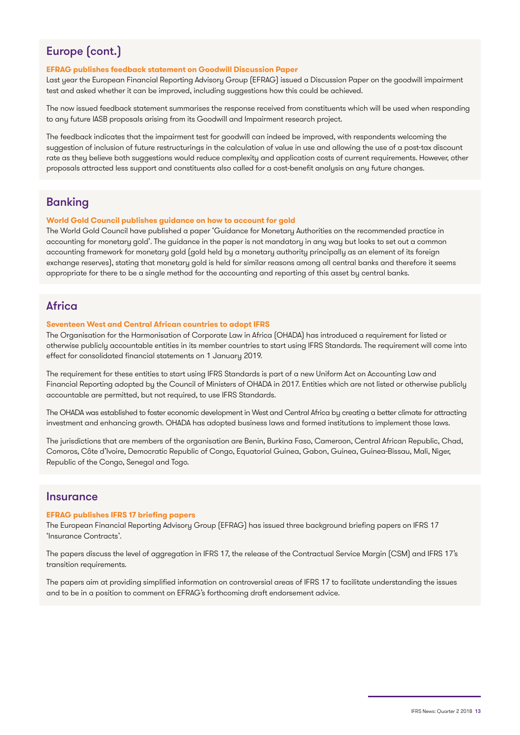### Europe (cont.)

#### **EFRAG publishes feedback statement on Goodwill Discussion Paper**

Last year the European Financial Reporting Advisory Group (EFRAG) issued a Discussion Paper on the goodwill impairment test and asked whether it can be improved, including suggestions how this could be achieved.

The now issued feedback statement summarises the response received from constituents which will be used when responding to any future IASB proposals arising from its Goodwill and Impairment research project.

The feedback indicates that the impairment test for goodwill can indeed be improved, with respondents welcoming the suggestion of inclusion of future restructurings in the calculation of value in use and allowing the use of a post-tax discount rate as they believe both suggestions would reduce complexity and application costs of current requirements. However, other proposals attracted less support and constituents also called for a cost-benefit analysis on any future changes.

#### Banking

#### **World Gold Council publishes guidance on how to account for gold**

The World Gold Council have published a paper 'Guidance for Monetary Authorities on the recommended practice in accounting for monetary gold'. The guidance in the paper is not mandatory in any way but looks to set out a common accounting framework for monetary gold (gold held by a monetary authority principally as an element of its foreign exchange reserves), stating that monetary gold is held for similar reasons among all central banks and therefore it seems appropriate for there to be a single method for the accounting and reporting of this asset by central banks.

#### **Africa**

#### **Seventeen West and Central African countries to adopt IFRS**

The Organisation for the Harmonisation of Corporate Law in Africa (OHADA) has introduced a requirement for listed or otherwise publicly accountable entities in its member countries to start using IFRS Standards. The requirement will come into effect for consolidated financial statements on 1 January 2019.

The requirement for these entities to start using IFRS Standards is part of a new Uniform Act on Accounting Law and Financial Reporting adopted by the Council of Ministers of OHADA in 2017. Entities which are not listed or otherwise publicly accountable are permitted, but not required, to use IFRS Standards.

The OHADA was established to foster economic development in West and Central Africa by creating a better climate for attracting investment and enhancing growth. OHADA has adopted business laws and formed institutions to implement those laws.

The jurisdictions that are members of the organisation are Benin, Burkina Faso, Cameroon, Central African Republic, Chad, Comoros, Côte d'Ivoire, Democratic Republic of Congo, Equatorial Guinea, Gabon, Guinea, Guinea-Bissau, Mali, Niger, Republic of the Congo, Senegal and Togo.

#### **Insurance**

#### **EFRAG publishes IFRS 17 briefing papers**

The European Financial Reporting Advisory Group (EFRAG) has issued three background briefing papers on IFRS 17 'Insurance Contracts'.

The papers discuss the level of aggregation in IFRS 17, the release of the Contractual Service Margin (CSM) and IFRS 17's transition requirements.

The papers aim at providing simplified information on controversial areas of IFRS 17 to facilitate understanding the issues and to be in a position to comment on EFRAG's forthcoming draft endorsement advice.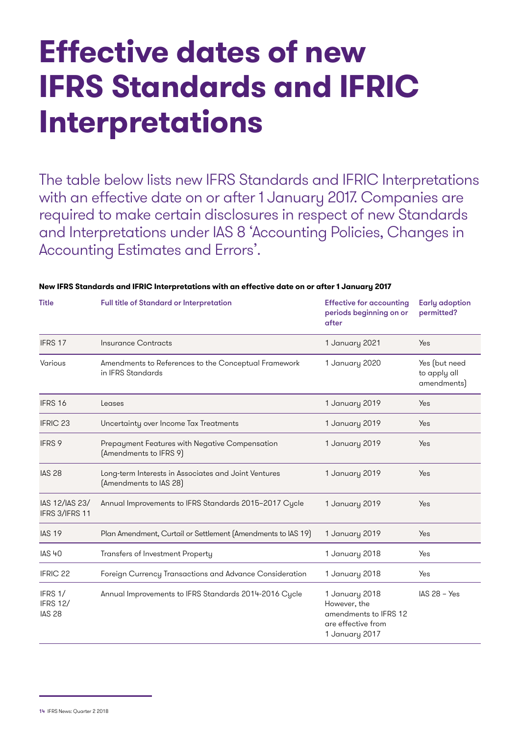## **Effective dates of new IFRS Standards and IFRIC Interpretations**

The table below lists new IFRS Standards and IFRIC Interpretations with an effective date on or after 1 January 2017. Companies are required to make certain disclosures in respect of new Standards and Interpretations under IAS 8 'Accounting Policies, Changes in Accounting Estimates and Errors'.

| <b>Title</b>                                | Full title of Standard or Interpretation                                       | <b>Effective for accounting</b><br>periods beginning on or<br>after                             | <b>Early adoption</b><br>permitted?          |
|---------------------------------------------|--------------------------------------------------------------------------------|-------------------------------------------------------------------------------------------------|----------------------------------------------|
| IFRS 17                                     | Insurance Contracts                                                            | 1 January 2021                                                                                  | Yes                                          |
| Various                                     | Amendments to References to the Conceptual Framework<br>in IFRS Standards      | 1 January 2020                                                                                  | Yes (but need<br>to apply all<br>amendments) |
| IFRS 16                                     | Leases                                                                         | 1 January 2019                                                                                  | Yes                                          |
| <b>IFRIC 23</b>                             | Uncertainty over Income Tax Treatments                                         | 1 January 2019                                                                                  | Yes                                          |
| IFRS 9                                      | Prepayment Features with Negative Compensation<br>(Amendments to IFRS 9)       | 1 January 2019                                                                                  | Yes                                          |
| <b>IAS 28</b>                               | Long-term Interests in Associates and Joint Ventures<br>(Amendments to IAS 28) | 1 January 2019                                                                                  | Yes                                          |
| IAS 12/IAS 23/<br>IFRS 3/IFRS 11            | Annual Improvements to IFRS Standards 2015-2017 Cycle                          | 1 January 2019                                                                                  | <b>Yes</b>                                   |
| <b>IAS 19</b>                               | Plan Amendment, Curtail or Settlement (Amendments to IAS 19)                   | 1 January 2019                                                                                  | Yes                                          |
| <b>IAS 40</b>                               | Transfers of Investment Property                                               | 1 January 2018                                                                                  | Yes                                          |
| <b>IFRIC 22</b>                             | Foreign Currency Transactions and Advance Consideration                        | 1 January 2018                                                                                  | Yes                                          |
| IFRS 1/<br><b>IFRS 12/</b><br><b>IAS 28</b> | Annual Improvements to IFRS Standards 2014-2016 Cycle                          | 1 January 2018<br>However, the<br>amendments to IFRS 12<br>are effective from<br>1 January 2017 | $IAS 28 - Yes$                               |

#### **New IFRS Standards and IFRIC Interpretations with an effective date on or after 1 January 2017**

<sup>14</sup> IFRS News: Quarter 2 2018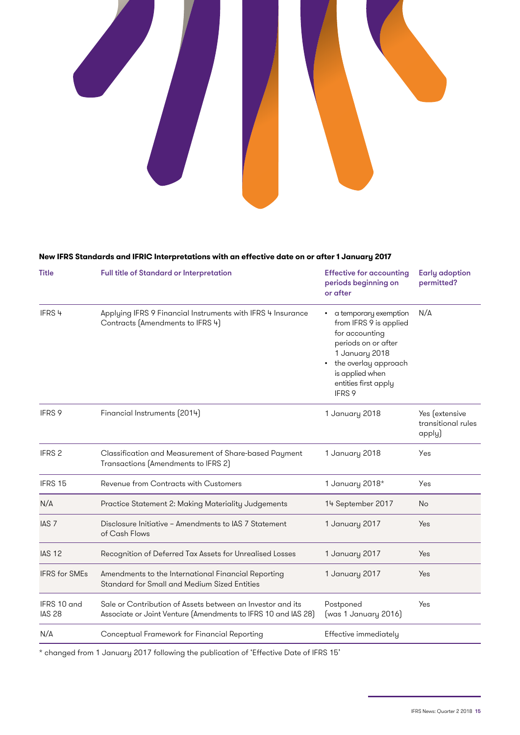

#### **New IFRS Standards and IFRIC Interpretations with an effective date on or after 1 January 2017**

| <b>Title</b>                 | Full title of Standard or Interpretation                                                                                    | <b>Effective for accounting</b><br>periods beginning on<br>or after                                                                                                                       | <b>Early adoption</b><br>permitted?            |
|------------------------------|-----------------------------------------------------------------------------------------------------------------------------|-------------------------------------------------------------------------------------------------------------------------------------------------------------------------------------------|------------------------------------------------|
| IFRS <sup>4</sup>            | Applying IFRS 9 Financial Instruments with IFRS 4 Insurance<br>Contracts (Amendments to IFRS 4)                             | a temporary exemption<br>from IFRS 9 is applied<br>for accounting<br>periods on or after<br>1 January 2018<br>• the overlay approach<br>is applied when<br>entities first apply<br>IFRS 9 | N/A                                            |
| IFRS 9                       | Financial Instruments (2014)                                                                                                | 1 January 2018                                                                                                                                                                            | Yes (extensive<br>transitional rules<br>apply) |
| IFRS <sub>2</sub>            | Classification and Measurement of Share-based Payment<br>Transactions (Amendments to IFRS 2)                                | 1 January 2018                                                                                                                                                                            | Yes                                            |
| IFRS 15                      | Revenue from Contracts with Customers                                                                                       | 1 January 2018*                                                                                                                                                                           | Yes                                            |
| N/A                          | Practice Statement 2: Making Materiality Judgements                                                                         | 14 September 2017                                                                                                                                                                         | No                                             |
| IAS <sub>7</sub>             | Disclosure Initiative - Amendments to IAS 7 Statement<br>of Cash Flows                                                      | 1 January 2017                                                                                                                                                                            | Yes                                            |
| <b>IAS 12</b>                | Recognition of Deferred Tax Assets for Unrealised Losses                                                                    | 1 January 2017                                                                                                                                                                            | <b>Yes</b>                                     |
| <b>IFRS</b> for SMEs         | Amendments to the International Financial Reporting<br>Standard for Small and Medium Sized Entities                         | 1 January 2017                                                                                                                                                                            | Yes                                            |
| IFRS 10 and<br><b>IAS 28</b> | Sale or Contribution of Assets between an Investor and its<br>Associate or Joint Venture (Amendments to IFRS 10 and IAS 28) | Postponed<br>(was 1 January 2016)                                                                                                                                                         | Yes                                            |
| N/A                          | Conceptual Framework for Financial Reporting                                                                                | Effective immediately                                                                                                                                                                     |                                                |

\* changed from 1 January 2017 following the publication of 'Effective Date of IFRS 15'